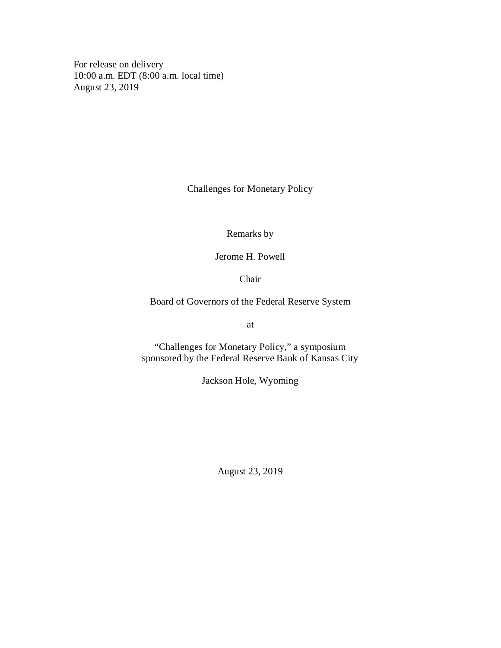For release on delivery 10:00 a.m. EDT (8:00 a.m. local time) August 23, 2019

Challenges for Monetary Policy

Remarks by

Jerome H. Powell

Chair

Board of Governors of the Federal Reserve System

at

"Challenges for Monetary Policy," a symposium sponsored by the Federal Reserve Bank of Kansas City

Jackson Hole, Wyoming

August 23, 2019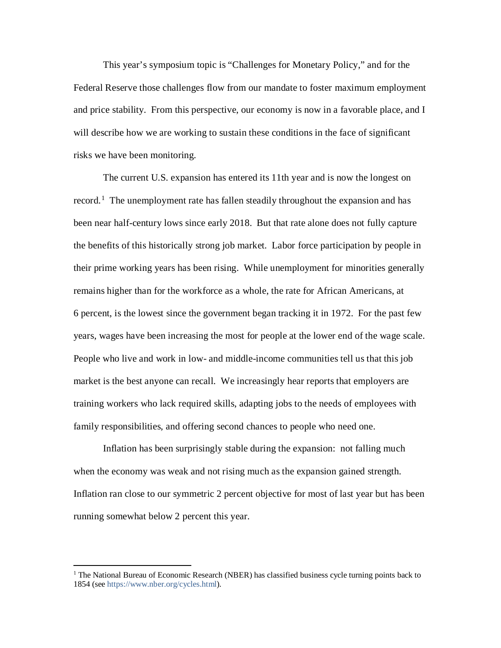This year's symposium topic is "Challenges for Monetary Policy," and for the Federal Reserve those challenges flow from our mandate to foster maximum employment and price stability. From this perspective, our economy is now in a favorable place, and I will describe how we are working to sustain these conditions in the face of significant risks we have been monitoring.

The current U.S. expansion has entered its 11th year and is now the longest on record.<sup>[1](#page-1-0)</sup> The unemployment rate has fallen steadily throughout the expansion and has been near half-century lows since early 2018. But that rate alone does not fully capture the benefits of this historically strong job market. Labor force participation by people in their prime working years has been rising. While unemployment for minorities generally remains higher than for the workforce as a whole, the rate for African Americans, at 6 percent, is the lowest since the government began tracking it in 1972. For the past few years, wages have been increasing the most for people at the lower end of the wage scale. People who live and work in low- and middle-income communities tell us that this job market is the best anyone can recall. We increasingly hear reports that employers are training workers who lack required skills, adapting jobs to the needs of employees with family responsibilities, and offering second chances to people who need one.

Inflation has been surprisingly stable during the expansion: not falling much when the economy was weak and not rising much as the expansion gained strength. Inflation ran close to our symmetric 2 percent objective for most of last year but has been running somewhat below 2 percent this year.

<span id="page-1-0"></span> $<sup>1</sup>$  The National Bureau of Economic Research (NBER) has classified business cycle turning points back to</sup> 1854 (see [https://www.nber.org/cycles.html\)](https://www.nber.org/cycles.html).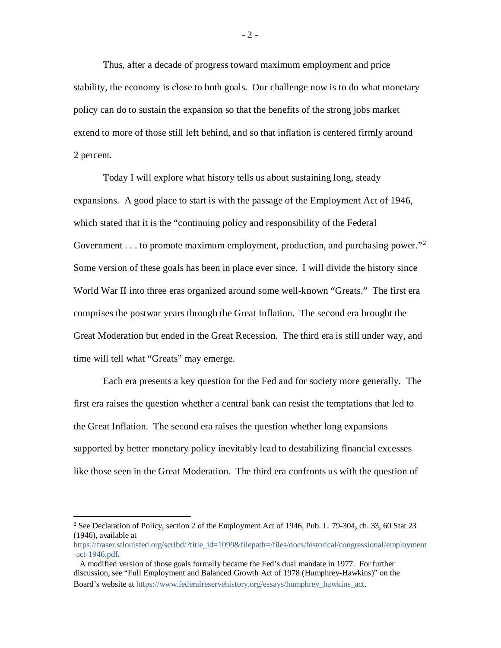Thus, after a decade of progress toward maximum employment and price stability, the economy is close to both goals. Our challenge now is to do what monetary policy can do to sustain the expansion so that the benefits of the strong jobs market extend to more of those still left behind, and so that inflation is centered firmly around 2 percent.

Today I will explore what history tells us about sustaining long, steady expansions. A good place to start is with the passage of the Employment Act of 1946, which stated that it is the "continuing policy and responsibility of the Federal Government . . . to promote maximum employment, production, and purchasing power."<sup>[2](#page-2-0)</sup> Some version of these goals has been in place ever since. I will divide the history since World War II into three eras organized around some well-known "Greats." The first era comprises the postwar years through the Great Inflation. The second era brought the Great Moderation but ended in the Great Recession. The third era is still under way, and time will tell what "Greats" may emerge.

Each era presents a key question for the Fed and for society more generally. The first era raises the question whether a central bank can resist the temptations that led to the Great Inflation. The second era raises the question whether long expansions supported by better monetary policy inevitably lead to destabilizing financial excesses like those seen in the Great Moderation. The third era confronts us with the question of

<span id="page-2-0"></span><sup>&</sup>lt;sup>2</sup> See Declaration of Policy, section 2 of the Employment Act of 1946, Pub. L. 79-304, ch. 33, 60 Stat 23 (1946), available at

[https://fraser.stlouisfed.org/scribd/?title\\_id=1099&filepath=/files/docs/historical/congressional/employment](https://fraser.stlouisfed.org/scribd/?title_id=1099&filepath=/files/docs/historical/congressional/employment-act-1946.pdf) [-act-1946.pdf.](https://fraser.stlouisfed.org/scribd/?title_id=1099&filepath=/files/docs/historical/congressional/employment-act-1946.pdf)

A modified version of those goals formally became the Fed's dual mandate in 1977. For further discussion, see "Full Employment and Balanced Growth Act of 1978 (Humphrey-Hawkins)" on the Board's website at [https://www.federalreservehistory.org/essays/humphrey\\_hawkins\\_act.](https://www.federalreservehistory.org/essays/humphrey_hawkins_act)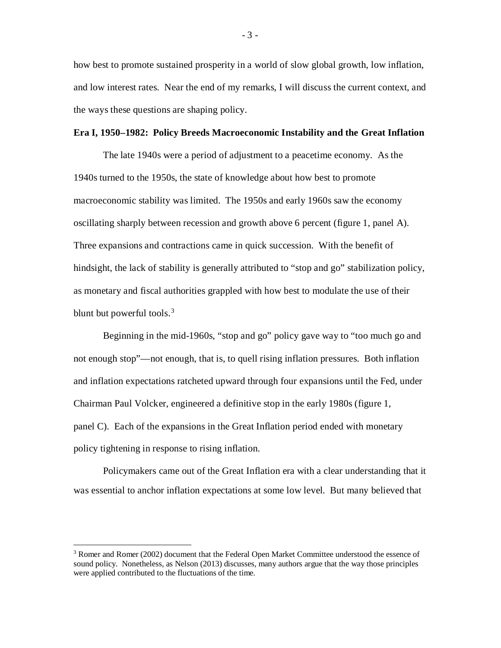how best to promote sustained prosperity in a world of slow global growth, low inflation, and low interest rates. Near the end of my remarks, I will discuss the current context, and the ways these questions are shaping policy.

#### **Era I, 1950–1982: Policy Breeds Macroeconomic Instability and the Great Inflation**

The late 1940s were a period of adjustment to a peacetime economy. As the 1940s turned to the 1950s, the state of knowledge about how best to promote macroeconomic stability was limited. The 1950s and early 1960s saw the economy oscillating sharply between recession and growth above 6 percent (figure 1, panel A). Three expansions and contractions came in quick succession. With the benefit of hindsight, the lack of stability is generally attributed to "stop and go" stabilization policy, as monetary and fiscal authorities grappled with how best to modulate the use of their blunt but powerful tools. $3$ 

Beginning in the mid-1960s, "stop and go" policy gave way to "too much go and not enough stop"—not enough, that is, to quell rising inflation pressures. Both inflation and inflation expectations ratcheted upward through four expansions until the Fed, under Chairman Paul Volcker, engineered a definitive stop in the early 1980s (figure 1, panel C). Each of the expansions in the Great Inflation period ended with monetary policy tightening in response to rising inflation.

Policymakers came out of the Great Inflation era with a clear understanding that it was essential to anchor inflation expectations at some low level. But many believed that

- 3 -

<span id="page-3-0"></span><sup>&</sup>lt;sup>3</sup> Romer and Romer (2002) document that the Federal Open Market Committee understood the essence of sound policy. Nonetheless, as Nelson (2013) discusses, many authors argue that the way those principles were applied contributed to the fluctuations of the time.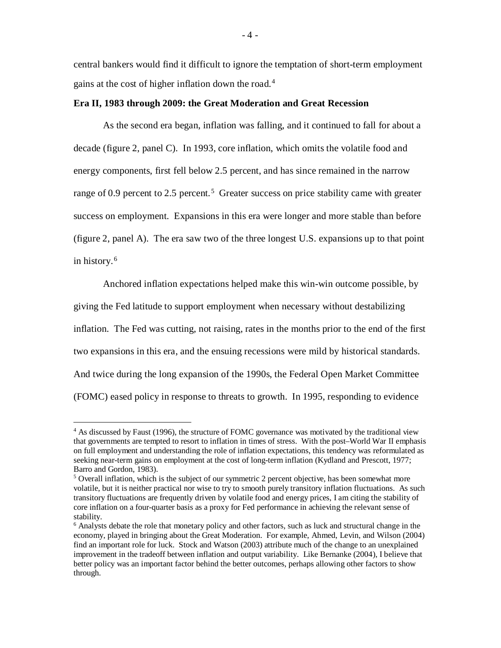central bankers would find it difficult to ignore the temptation of short-term employment gains at the cost of higher inflation down the road. [4](#page-4-0)

#### **Era II, 1983 through 2009: the Great Moderation and Great Recession**

As the second era began, inflation was falling, and it continued to fall for about a decade (figure 2, panel C). In 1993, core inflation, which omits the volatile food and energy components, first fell below 2.5 percent, and has since remained in the narrow range of 0.9 percent to 2.[5](#page-4-1) percent.<sup>5</sup> Greater success on price stability came with greater success on employment. Expansions in this era were longer and more stable than before (figure 2, panel A). The era saw two of the three longest U.S. expansions up to that point in history.<sup>[6](#page-4-2)</sup>

Anchored inflation expectations helped make this win-win outcome possible, by giving the Fed latitude to support employment when necessary without destabilizing inflation. The Fed was cutting, not raising, rates in the months prior to the end of the first two expansions in this era, and the ensuing recessions were mild by historical standards. And twice during the long expansion of the 1990s, the Federal Open Market Committee (FOMC) eased policy in response to threats to growth. In 1995, responding to evidence

<span id="page-4-0"></span> $4$  As discussed by Faust (1996), the structure of FOMC governance was motivated by the traditional view that governments are tempted to resort to inflation in times of stress. With the post–World War II emphasis on full employment and understanding the role of inflation expectations, this tendency was reformulated as seeking near-term gains on employment at the cost of long-term inflation (Kydland and Prescott, 1977; Barro and Gordon, 1983).

<span id="page-4-1"></span> $5$  Overall inflation, which is the subject of our symmetric 2 percent objective, has been somewhat more volatile, but it is neither practical nor wise to try to smooth purely transitory inflation fluctuations. As such transitory fluctuations are frequently driven by volatile food and energy prices, I am citing the stability of core inflation on a four-quarter basis as a proxy for Fed performance in achieving the relevant sense of stability.

<span id="page-4-2"></span><sup>6</sup> Analysts debate the role that monetary policy and other factors, such as luck and structural change in the economy, played in bringing about the Great Moderation. For example, Ahmed, Levin, and Wilson (2004) find an important role for luck. Stock and Watson (2003) attribute much of the change to an unexplained improvement in the tradeoff between inflation and output variability. Like Bernanke (2004), I believe that better policy was an important factor behind the better outcomes, perhaps allowing other factors to show through.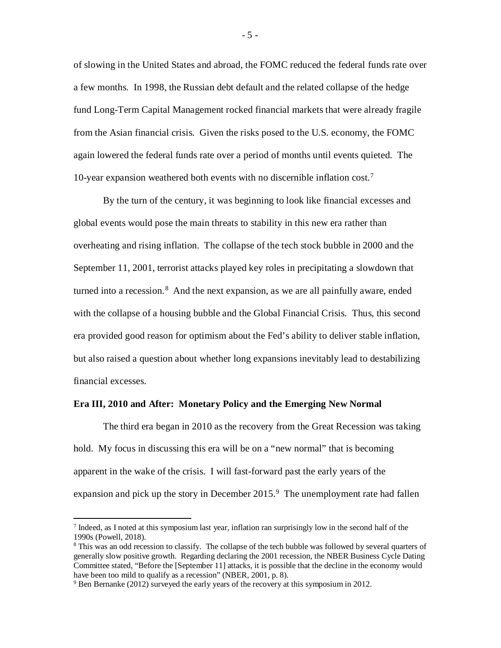of slowing in the United States and abroad, the FOMC reduced the federal funds rate over a few months. In 1998, the Russian debt default and the related collapse of the hedge fund Long-Term Capital Management rocked financial markets that were already fragile from the Asian financial crisis. Given the risks posed to the U.S. economy, the FOMC again lowered the federal funds rate over a period of months until events quieted. The 10-year expansion weathered both events with no discernible inflation cost.[7](#page-5-0)

By the turn of the century, it was beginning to look like financial excesses and global events would pose the main threats to stability in this new era rather than overheating and rising inflation. The collapse of the tech stock bubble in 2000 and the September 11, 2001, terrorist attacks played key roles in precipitating a slowdown that turned into a recession.<sup>[8](#page-5-1)</sup> And the next expansion, as we are all painfully aware, ended with the collapse of a housing bubble and the Global Financial Crisis. Thus, this second era provided good reason for optimism about the Fed's ability to deliver stable inflation, but also raised a question about whether long expansions inevitably lead to destabilizing financial excesses.

#### **Era III, 2010 and After: Monetary Policy and the Emerging New Normal**

The third era began in 2010 as the recovery from the Great Recession was taking hold. My focus in discussing this era will be on a "new normal" that is becoming apparent in the wake of the crisis. I will fast-forward past the early years of the expansion and pick up the story in December  $2015<sup>9</sup>$  $2015<sup>9</sup>$  $2015<sup>9</sup>$ . The unemployment rate had fallen

<span id="page-5-0"></span> $<sup>7</sup>$  Indeed, as I noted at this symposium last year, inflation ran surprisingly low in the second half of the</sup> 1990s (Powell, 2018).

<span id="page-5-1"></span><sup>&</sup>lt;sup>8</sup> This was an odd recession to classify. The collapse of the tech bubble was followed by several quarters of generally slow positive growth. Regarding declaring the 2001 recession, the NBER Business Cycle Dating Committee stated, "Before the [September 11] attacks, it is possible that the decline in the economy would have been too mild to qualify as a recession" (NBER, 2001, p. 8).<br><sup>9</sup> Ben Bernanke (2012) surveyed the early years of the recovery at this symposium in 2012.

<span id="page-5-2"></span>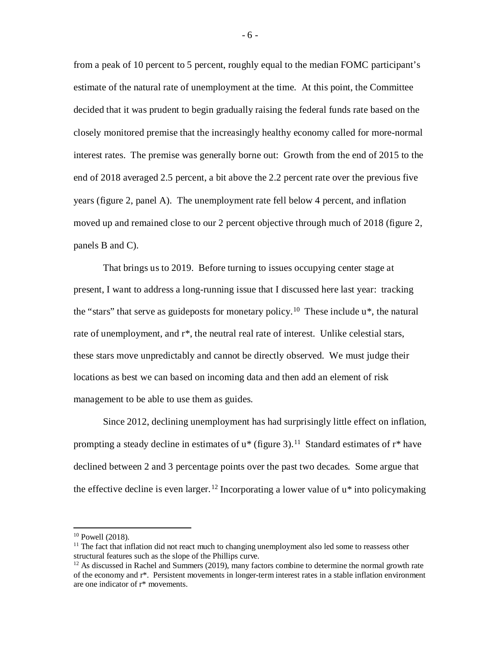from a peak of 10 percent to 5 percent, roughly equal to the median FOMC participant's estimate of the natural rate of unemployment at the time. At this point, the Committee decided that it was prudent to begin gradually raising the federal funds rate based on the closely monitored premise that the increasingly healthy economy called for more-normal interest rates. The premise was generally borne out: Growth from the end of 2015 to the end of 2018 averaged 2.5 percent, a bit above the 2.2 percent rate over the previous five years (figure 2, panel A). The unemployment rate fell below 4 percent, and inflation moved up and remained close to our 2 percent objective through much of 2018 (figure 2, panels B and C).

That brings us to 2019. Before turning to issues occupying center stage at present, I want to address a long-running issue that I discussed here last year: tracking the "stars" that serve as guideposts for monetary policy.<sup>[10](#page-6-0)</sup> These include  $u^*$ , the natural rate of unemployment, and  $r^*$ , the neutral real rate of interest. Unlike celestial stars, these stars move unpredictably and cannot be directly observed. We must judge their locations as best we can based on incoming data and then add an element of risk management to be able to use them as guides.

Since 2012, declining unemployment has had surprisingly little effect on inflation, prompting a steady decline in estimates of  $u^*$  (figure 3).<sup>11</sup> Standard estimates of  $r^*$  have declined between 2 and 3 percentage points over the past two decades. Some argue that the effective decline is even larger.<sup>[12](#page-6-2)</sup> Incorporating a lower value of  $u^*$  into policymaking

<sup>&</sup>lt;sup>10</sup> Powell (2018).

<span id="page-6-1"></span><span id="page-6-0"></span><sup>&</sup>lt;sup>11</sup> The fact that inflation did not react much to changing unemployment also led some to reassess other structural features such as the slope of the Phillips curve.

<span id="page-6-2"></span> $12$  As discussed in Rachel and Summers (2019), many factors combine to determine the normal growth rate of the economy and r\*. Persistent movements in longer-term interest rates in a stable inflation environment are one indicator of r\* movements.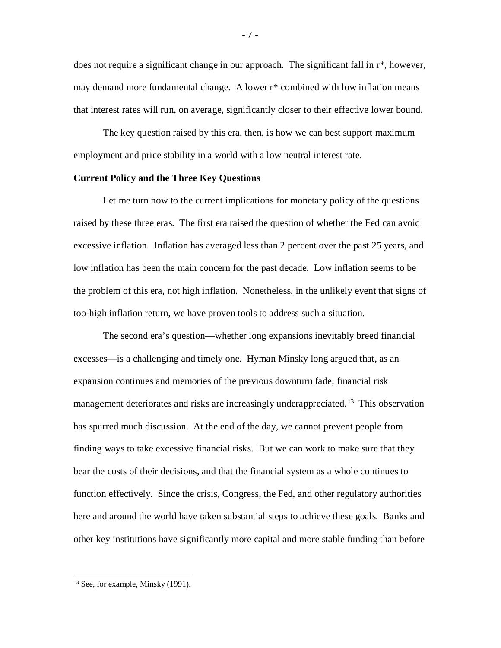does not require a significant change in our approach. The significant fall in r\*, however, may demand more fundamental change. A lower r\* combined with low inflation means that interest rates will run, on average, significantly closer to their effective lower bound.

The key question raised by this era, then, is how we can best support maximum employment and price stability in a world with a low neutral interest rate.

#### **Current Policy and the Three Key Questions**

Let me turn now to the current implications for monetary policy of the questions raised by these three eras. The first era raised the question of whether the Fed can avoid excessive inflation. Inflation has averaged less than 2 percent over the past 25 years, and low inflation has been the main concern for the past decade. Low inflation seems to be the problem of this era, not high inflation. Nonetheless, in the unlikely event that signs of too-high inflation return, we have proven tools to address such a situation.

The second era's question—whether long expansions inevitably breed financial excesses—is a challenging and timely one. Hyman Minsky long argued that, as an expansion continues and memories of the previous downturn fade, financial risk management deteriorates and risks are increasingly underappreciated.<sup>[13](#page-7-0)</sup> This observation has spurred much discussion. At the end of the day, we cannot prevent people from finding ways to take excessive financial risks. But we can work to make sure that they bear the costs of their decisions, and that the financial system as a whole continues to function effectively. Since the crisis, Congress, the Fed, and other regulatory authorities here and around the world have taken substantial steps to achieve these goals. Banks and other key institutions have significantly more capital and more stable funding than before

- 7 -

<span id="page-7-0"></span><sup>&</sup>lt;sup>13</sup> See, for example, Minsky (1991).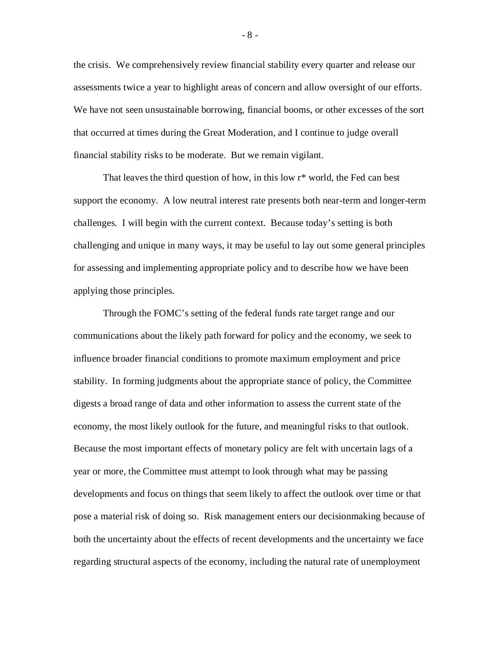the crisis. We comprehensively review financial stability every quarter and release our assessments twice a year to highlight areas of concern and allow oversight of our efforts. We have not seen unsustainable borrowing, financial booms, or other excesses of the sort that occurred at times during the Great Moderation, and I continue to judge overall financial stability risks to be moderate. But we remain vigilant.

That leaves the third question of how, in this low r\* world, the Fed can best support the economy. A low neutral interest rate presents both near-term and longer-term challenges. I will begin with the current context. Because today's setting is both challenging and unique in many ways, it may be useful to lay out some general principles for assessing and implementing appropriate policy and to describe how we have been applying those principles.

Through the FOMC's setting of the federal funds rate target range and our communications about the likely path forward for policy and the economy, we seek to influence broader financial conditions to promote maximum employment and price stability. In forming judgments about the appropriate stance of policy, the Committee digests a broad range of data and other information to assess the current state of the economy, the most likely outlook for the future, and meaningful risks to that outlook. Because the most important effects of monetary policy are felt with uncertain lags of a year or more, the Committee must attempt to look through what may be passing developments and focus on things that seem likely to affect the outlook over time or that pose a material risk of doing so. Risk management enters our decisionmaking because of both the uncertainty about the effects of recent developments and the uncertainty we face regarding structural aspects of the economy, including the natural rate of unemployment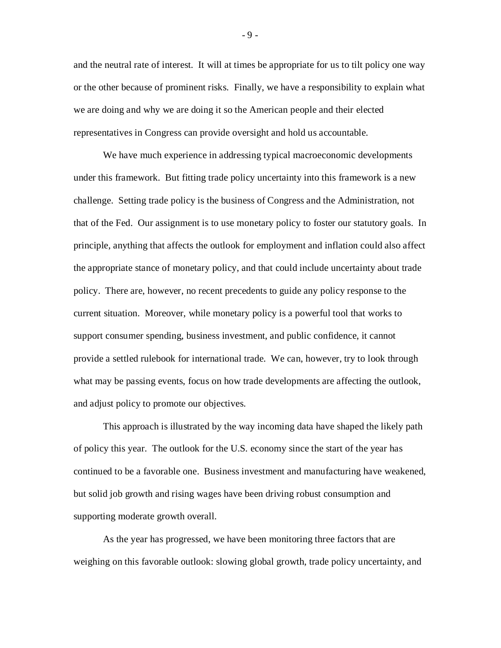and the neutral rate of interest. It will at times be appropriate for us to tilt policy one way or the other because of prominent risks. Finally, we have a responsibility to explain what we are doing and why we are doing it so the American people and their elected representatives in Congress can provide oversight and hold us accountable.

We have much experience in addressing typical macroeconomic developments under this framework. But fitting trade policy uncertainty into this framework is a new challenge. Setting trade policy is the business of Congress and the Administration, not that of the Fed. Our assignment is to use monetary policy to foster our statutory goals. In principle, anything that affects the outlook for employment and inflation could also affect the appropriate stance of monetary policy, and that could include uncertainty about trade policy. There are, however, no recent precedents to guide any policy response to the current situation. Moreover, while monetary policy is a powerful tool that works to support consumer spending, business investment, and public confidence, it cannot provide a settled rulebook for international trade. We can, however, try to look through what may be passing events, focus on how trade developments are affecting the outlook, and adjust policy to promote our objectives.

This approach is illustrated by the way incoming data have shaped the likely path of policy this year. The outlook for the U.S. economy since the start of the year has continued to be a favorable one. Business investment and manufacturing have weakened, but solid job growth and rising wages have been driving robust consumption and supporting moderate growth overall.

As the year has progressed, we have been monitoring three factors that are weighing on this favorable outlook: slowing global growth, trade policy uncertainty, and

- 9 -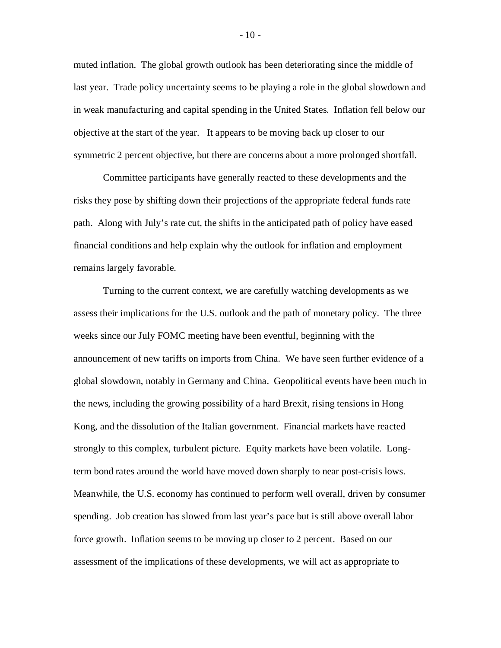muted inflation. The global growth outlook has been deteriorating since the middle of last year. Trade policy uncertainty seems to be playing a role in the global slowdown and in weak manufacturing and capital spending in the United States. Inflation fell below our objective at the start of the year. It appears to be moving back up closer to our symmetric 2 percent objective, but there are concerns about a more prolonged shortfall.

Committee participants have generally reacted to these developments and the risks they pose by shifting down their projections of the appropriate federal funds rate path. Along with July's rate cut, the shifts in the anticipated path of policy have eased financial conditions and help explain why the outlook for inflation and employment remains largely favorable.

Turning to the current context, we are carefully watching developments as we assess their implications for the U.S. outlook and the path of monetary policy. The three weeks since our July FOMC meeting have been eventful, beginning with the announcement of new tariffs on imports from China. We have seen further evidence of a global slowdown, notably in Germany and China. Geopolitical events have been much in the news, including the growing possibility of a hard Brexit, rising tensions in Hong Kong, and the dissolution of the Italian government. Financial markets have reacted strongly to this complex, turbulent picture. Equity markets have been volatile. Longterm bond rates around the world have moved down sharply to near post-crisis lows. Meanwhile, the U.S. economy has continued to perform well overall, driven by consumer spending. Job creation has slowed from last year's pace but is still above overall labor force growth. Inflation seems to be moving up closer to 2 percent. Based on our assessment of the implications of these developments, we will act as appropriate to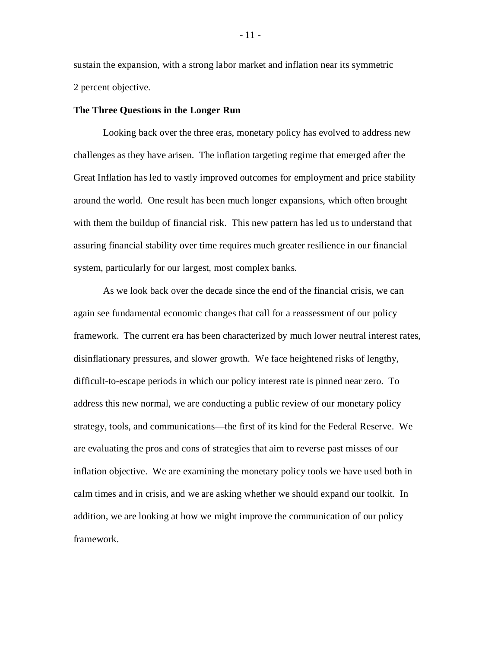sustain the expansion, with a strong labor market and inflation near its symmetric 2 percent objective.

#### **The Three Questions in the Longer Run**

Looking back over the three eras, monetary policy has evolved to address new challenges as they have arisen. The inflation targeting regime that emerged after the Great Inflation has led to vastly improved outcomes for employment and price stability around the world. One result has been much longer expansions, which often brought with them the buildup of financial risk. This new pattern has led us to understand that assuring financial stability over time requires much greater resilience in our financial system, particularly for our largest, most complex banks.

As we look back over the decade since the end of the financial crisis, we can again see fundamental economic changes that call for a reassessment of our policy framework. The current era has been characterized by much lower neutral interest rates, disinflationary pressures, and slower growth. We face heightened risks of lengthy, difficult-to-escape periods in which our policy interest rate is pinned near zero. To address this new normal, we are conducting a public review of our monetary policy strategy, tools, and communications—the first of its kind for the Federal Reserve. We are evaluating the pros and cons of strategies that aim to reverse past misses of our inflation objective. We are examining the monetary policy tools we have used both in calm times and in crisis, and we are asking whether we should expand our toolkit. In addition, we are looking at how we might improve the communication of our policy framework.

- 11 -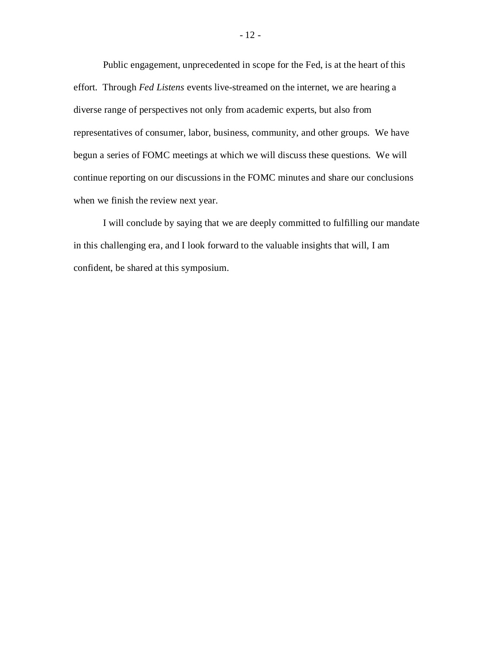Public engagement, unprecedented in scope for the Fed, is at the heart of this effort. Through *Fed Listens* events live-streamed on the internet, we are hearing a diverse range of perspectives not only from academic experts, but also from representatives of consumer, labor, business, community, and other groups. We have begun a series of FOMC meetings at which we will discuss these questions. We will continue reporting on our discussions in the FOMC minutes and share our conclusions when we finish the review next year.

I will conclude by saying that we are deeply committed to fulfilling our mandate in this challenging era, and I look forward to the valuable insights that will, I am confident, be shared at this symposium.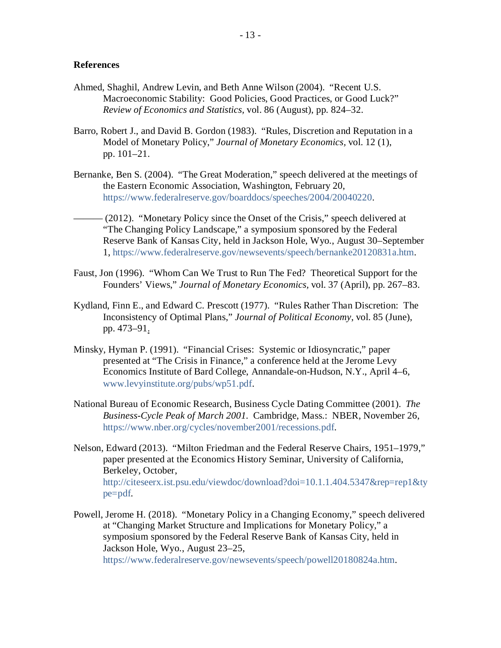#### **References**

- Ahmed, Shaghil, Andrew Levin, and Beth Anne Wilson (2004). "Recent U.S. Macroeconomic Stability: Good Policies, Good Practices, or Good Luck?" *Review of Economics and Statistics,* vol. 86 (August), pp. 824–32.
- Barro, Robert J., and David B. Gordon (1983). "Rules, Discretion and Reputation in a Model of Monetary Policy," *Journal of Monetary Economics,* vol. 12 (1), pp. 101–21.
- Bernanke, Ben S. (2004). "The Great Moderation," speech delivered at the meetings of the Eastern Economic Association, Washington, February 20, [https://www.federalreserve.gov/boarddocs/speeches/2004/20040220.](https://www.federalreserve.gov/boarddocs/speeches/2004/20040220)
- (2012). "Monetary Policy since the Onset of the Crisis," speech delivered at "The Changing Policy Landscape," a symposium sponsored by the Federal Reserve Bank of Kansas City, held in Jackson Hole, Wyo., August 30–September 1, [https://www.federalreserve.gov/newsevents/speech/bernanke20120831a.htm.](https://www.federalreserve.gov/newsevents/speech/bernanke20120831a.htm)
- Faust, Jon (1996). "Whom Can We Trust to Run The Fed? Theoretical Support for the Founders' Views," *Journal of Monetary Economics,* vol. 37 (April), pp. 267–83.
- Kydland, Finn E., and Edward C. Prescott (1977). "Rules Rather Than Discretion: The Inconsistency of Optimal Plans," *Journal of Political Economy*, vol. 85 (June), pp. 473–91.
- Minsky, Hyman P. (1991). "Financial Crises: Systemic or Idiosyncratic," paper presented at "The Crisis in Finance," a conference held at the Jerome Levy Economics Institute of Bard College, Annandale-on-Hudson, N.Y., April 4–6, [www.levyinstitute.org/pubs/wp51.pdf.](http://www.levyinstitute.org/pubs/wp51.pdf)
- National Bureau of Economic Research, Business Cycle Dating Committee (2001). *The Business-Cycle Peak of March 2001.* Cambridge, Mass.: NBER, November 26, [https://www.nber.org/cycles/november2001/recessions.pdf.](https://www.nber.org/cycles/november2001/recessions.pdf)
- Nelson, Edward (2013). "Milton Friedman and the Federal Reserve Chairs, 1951–1979," paper presented at the Economics History Seminar, University of California, Berkeley, October, [http://citeseerx.ist.psu.edu/viewdoc/download?doi=10.1.1.404.5347&rep=rep1&ty](http://citeseerx.ist.psu.edu/viewdoc/download?doi=10.1.1.404.5347&rep=rep1&type=pdf) [pe=pdf.](http://citeseerx.ist.psu.edu/viewdoc/download?doi=10.1.1.404.5347&rep=rep1&type=pdf)
- Powell, Jerome H. (2018). "Monetary Policy in a Changing Economy," speech delivered at "Changing Market Structure and Implications for Monetary Policy," a symposium sponsored by the Federal Reserve Bank of Kansas City, held in Jackson Hole, Wyo., August 23–25,

[https://www.federalreserve.gov/newsevents/speech/powell20180824a.htm.](https://www.federalreserve.gov/newsevents/speech/powell20180824a.htm)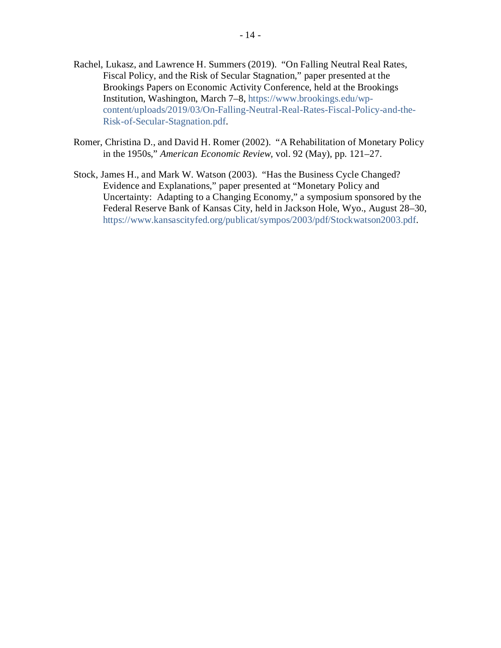- Rachel, Lukasz, and Lawrence H. Summers (2019). "On Falling Neutral Real Rates, Fiscal Policy, and the Risk of Secular Stagnation," paper presented at the Brookings Papers on Economic Activity Conference, held at the Brookings Institution, Washington, March 7–8, [https://www.brookings.edu/wp](https://www.brookings.edu/wp-content/uploads/2019/03/On-Falling-Neutral-Real-Rates-Fiscal-Policy-and-the-Risk-of-Secular-Stagnation.pdf)[content/uploads/2019/03/On-Falling-Neutral-Real-Rates-Fiscal-Policy-and-the-](https://www.brookings.edu/wp-content/uploads/2019/03/On-Falling-Neutral-Real-Rates-Fiscal-Policy-and-the-Risk-of-Secular-Stagnation.pdf)[Risk-of-Secular-Stagnation.pdf.](https://www.brookings.edu/wp-content/uploads/2019/03/On-Falling-Neutral-Real-Rates-Fiscal-Policy-and-the-Risk-of-Secular-Stagnation.pdf)
- Romer, Christina D., and David H. Romer (2002). "A Rehabilitation of Monetary Policy in the 1950s," *American Economic Review,* vol. 92 (May), pp. 121–27.
- Stock, James H., and Mark W. Watson (2003). "Has the Business Cycle Changed? Evidence and Explanations," paper presented at "Monetary Policy and Uncertainty: Adapting to a Changing Economy," a symposium sponsored by the Federal Reserve Bank of Kansas City, held in Jackson Hole, Wyo., August 28–30, [https://www.kansascityfed.org/publicat/sympos/2003/pdf/Stockwatson2003.pdf.](https://www.kansascityfed.org/publicat/sympos/2003/pdf/Stockwatson2003.pdf)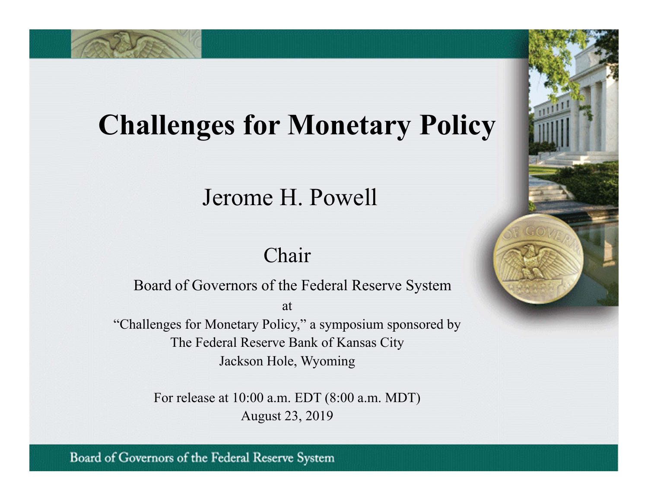# **Challenges for Monetary Policy**

## Jerome H. Powell

### Chair

Board of Governors of the Federal Reserve System

at

"Challenges for Monetary Policy," a symposium sponsored by The Federal Reserve Bank of Kansas City Jackson Hole, Wyoming

> For release at 10:00 a.m. EDT (8:00 a.m. MDT) August 23, 2019

Board of Governors of the Federal Reserve System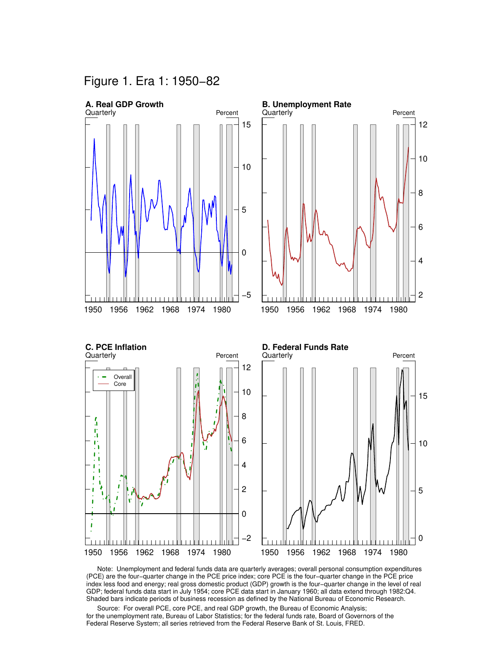Figure 1. Era 1: 1950−82



 Note: Unemployment and federal funds data are quarterly averages; overall personal consumption expenditures (PCE) are the four−quarter change in the PCE price index; core PCE is the four−quarter change in the PCE price index less food and energy; real gross domestic product (GDP) growth is the four−quarter change in the level of real GDP; federal funds data start in July 1954; core PCE data start in January 1960; all data extend through 1982:Q4. Shaded bars indicate periods of business recession as defined by the National Bureau of Economic Research.

 Source: For overall PCE, core PCE, and real GDP growth, the Bureau of Economic Analysis; for the unemployment rate, Bureau of Labor Statistics; for the federal funds rate, Board of Governors of the Federal Reserve System; all series retrieved from the Federal Reserve Bank of St. Louis, FRED.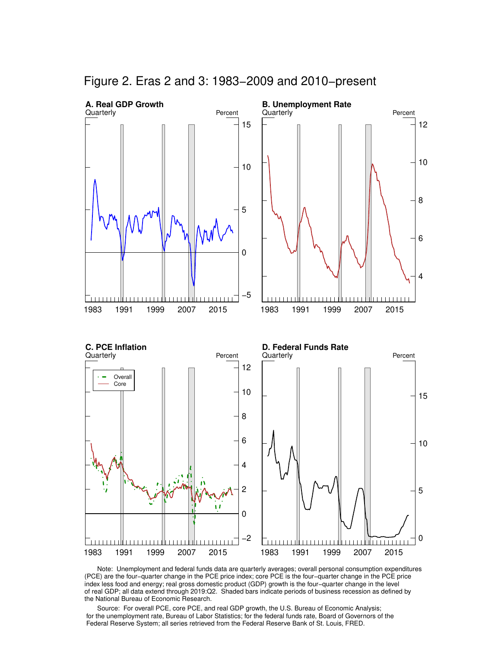

Figure 2. Eras 2 and 3: 1983−2009 and 2010−present

 Note: Unemployment and federal funds data are quarterly averages; overall personal consumption expenditures (PCE) are the four−quarter change in the PCE price index; core PCE is the four−quarter change in the PCE price index less food and energy; real gross domestic product (GDP) growth is the four−quarter change in the level of real GDP; all data extend through 2019:Q2. Shaded bars indicate periods of business recession as defined by the National Bureau of Economic Research.

 Source: For overall PCE, core PCE, and real GDP growth, the U.S. Bureau of Economic Analysis; for the unemployment rate, Bureau of Labor Statistics; for the federal funds rate, Board of Governors of the Federal Reserve System; all series retrieved from the Federal Reserve Bank of St. Louis, FRED.